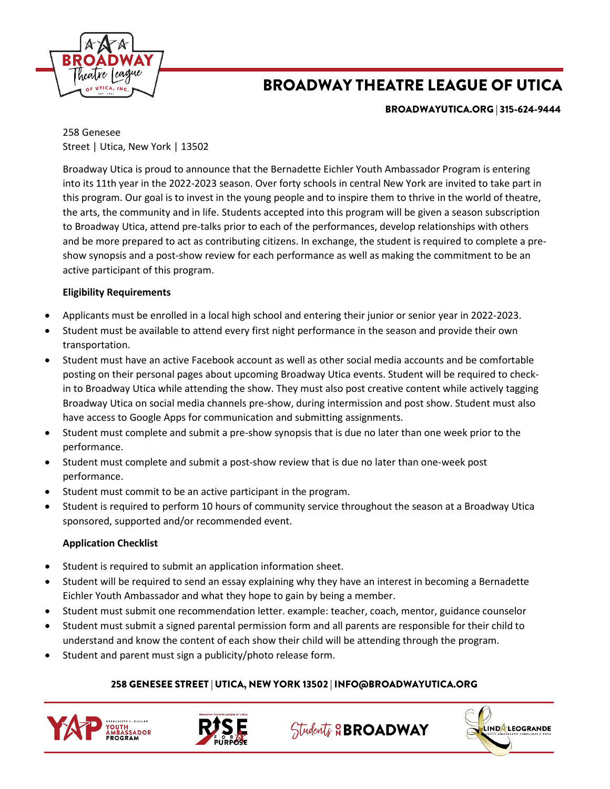

# BROADWAY THEATRE LEAGUE OF UTICA

BROADWAYUTICA.ORG | 315-624-9444

258 Genesee Street | Utica, New York | 13502

Broadway Utica is proud to announce that the Bernadette Eichler Youth Ambassador Program is entering into its 11th year in the 2022-2023 season. Over forty schools in central New York are invited to take part in this program. Our goal is to invest in the young people and to inspire them to thrive in the world of theatre, the arts, the community and in life. Students accepted into this program will be given a season subscription to Broadway Utica, attend pre-talks prior to each of the performances, develop relationships with others and be more prepared to act as contributing citizens. In exchange, the student is required to complete a preshow synopsis and a post-show review for each performance as well as making the commitment to be an active participant of this program.

## **Eligibility Requirements**

- Applicants must be enrolled in a local high school and entering their junior or senior year in 2022-2023.
- Student must be available to attend every first night performance in the season and provide their own transportation.
- Student must have an active Facebook account as well as other social media accounts and be comfortable posting on their personal pages about upcoming Broadway Utica events. Student will be required to checkin to Broadway Utica while attending the show. They must also post creative content while actively tagging Broadway Utica on social media channels pre-show, during intermission and post show. Student must also have access to Google Apps for communication and submitting assignments.
- Student must complete and submit a pre-show synopsis that is due no later than one week prior to the performance.
- Student must complete and submit a post-show review that is due no later than one-week post performance.
- Student must commit to be an active participant in the program.
- Student is required to perform 10 hours of community service throughout the season at a Broadway Utica sponsored, supported and/or recommended event.

## **Application Checklist**

- Student is required to submit an application information sheet.
- Student will be required to send an essay explaining why they have an interest in becoming a Bernadette Eichler Youth Ambassador and what they hope to gain by being a member.
- Student must submit one recommendation letter. example: teacher, coach, mentor, guidance counselor
- Student must submit a signed parental permission form and all parents are responsible for their child to understand and know the content of each show their child will be attending through the program.
- Student and parent must sign a publicity/photo release form.

## 258 GENESEE STREET | UTICA, NEW YORK 13502 | INFO@BROADWAYUTICA.ORG





Students & BROADWAY

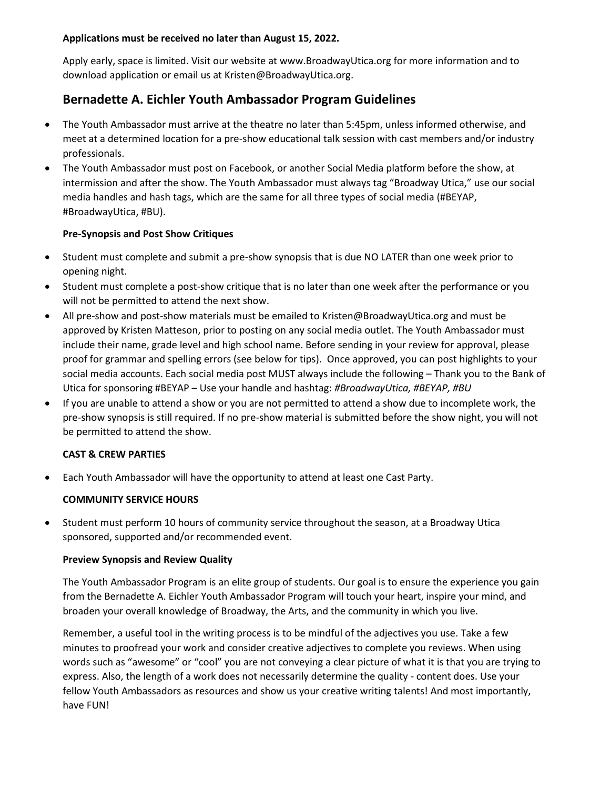## **Applications must be received no later than August 15, 2022.**

Apply early, space is limited. Visit our website at www.BroadwayUtica.org for more information and to download application or email us at Kristen@BroadwayUtica.org.

## **Bernadette A. Eichler Youth Ambassador Program Guidelines**

- The Youth Ambassador must arrive at the theatre no later than 5:45pm, unless informed otherwise, and meet at a determined location for a pre-show educational talk session with cast members and/or industry professionals.
- The Youth Ambassador must post on Facebook, or another Social Media platform before the show, at intermission and after the show. The Youth Ambassador must always tag "Broadway Utica," use our social media handles and hash tags, which are the same for all three types of social media (#BEYAP, #BroadwayUtica, #BU).

## **Pre-Synopsis and Post Show Critiques**

- Student must complete and submit a pre-show synopsis that is due NO LATER than one week prior to opening night.
- Student must complete a post-show critique that is no later than one week after the performance or you will not be permitted to attend the next show.
- All pre-show and post-show materials must be emailed to Kristen@BroadwayUtica.org and must be approved by Kristen Matteson, prior to posting on any social media outlet. The Youth Ambassador must include their name, grade level and high school name. Before sending in your review for approval, please proof for grammar and spelling errors (see below for tips). Once approved, you can post highlights to your social media accounts. Each social media post MUST always include the following – Thank you to the Bank of Utica for sponsoring #BEYAP – Use your handle and hashtag: *#BroadwayUtica, #BEYAP, #BU*
- If you are unable to attend a show or you are not permitted to attend a show due to incomplete work, the pre-show synopsis is still required. If no pre-show material is submitted before the show night, you will not be permitted to attend the show.

## **CAST & CREW PARTIES**

• Each Youth Ambassador will have the opportunity to attend at least one Cast Party.

#### **COMMUNITY SERVICE HOURS**

• Student must perform 10 hours of community service throughout the season, at a Broadway Utica sponsored, supported and/or recommended event.

#### **Preview Synopsis and Review Quality**

The Youth Ambassador Program is an elite group of students. Our goal is to ensure the experience you gain from the Bernadette A. Eichler Youth Ambassador Program will touch your heart, inspire your mind, and broaden your overall knowledge of Broadway, the Arts, and the community in which you live.

Remember, a useful tool in the writing process is to be mindful of the adjectives you use. Take a few minutes to proofread your work and consider creative adjectives to complete you reviews. When using words such as "awesome" or "cool" you are not conveying a clear picture of what it is that you are trying to express. Also, the length of a work does not necessarily determine the quality - content does. Use your fellow Youth Ambassadors as resources and show us your creative writing talents! And most importantly, have FUN!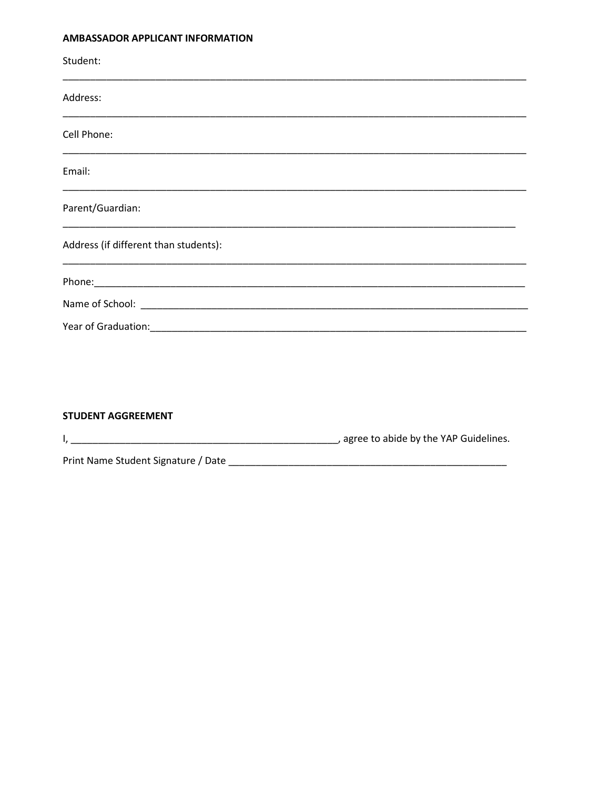#### AMBASSADOR APPLICANT INFORMATION

| Student:<br><u> 1989 - Johann John Stoff, deutscher Stoff, der Stoff, der Stoff, der Stoff, der Stoff, der Stoff, der Stoff, </u> |  |
|-----------------------------------------------------------------------------------------------------------------------------------|--|
| Address:                                                                                                                          |  |
| Cell Phone:                                                                                                                       |  |
| Email:                                                                                                                            |  |
| Parent/Guardian:                                                                                                                  |  |
| Address (if different than students):                                                                                             |  |
|                                                                                                                                   |  |
|                                                                                                                                   |  |
|                                                                                                                                   |  |
|                                                                                                                                   |  |

#### **STUDENT AGGREEMENT**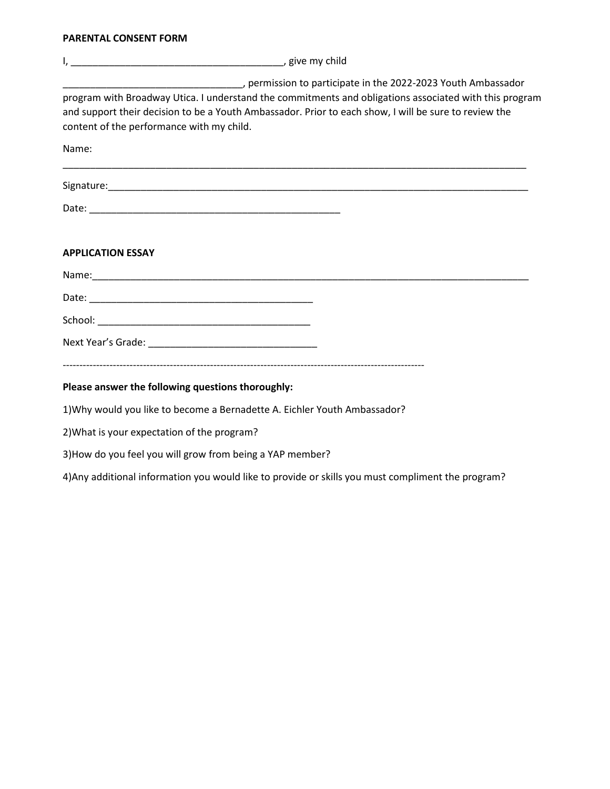#### **PARENTAL CONSENT FORM**

| permission to participate in the 2022-2023 Youth Ambassador<br>program with Broadway Utica. I understand the commitments and obligations associated with this program<br>and support their decision to be a Youth Ambassador. Prior to each show, I will be sure to review the<br>content of the performance with my child.<br>Name: |
|--------------------------------------------------------------------------------------------------------------------------------------------------------------------------------------------------------------------------------------------------------------------------------------------------------------------------------------|
|                                                                                                                                                                                                                                                                                                                                      |
|                                                                                                                                                                                                                                                                                                                                      |
| <b>APPLICATION ESSAY</b>                                                                                                                                                                                                                                                                                                             |
|                                                                                                                                                                                                                                                                                                                                      |
|                                                                                                                                                                                                                                                                                                                                      |
|                                                                                                                                                                                                                                                                                                                                      |
|                                                                                                                                                                                                                                                                                                                                      |
| Please answer the following questions thoroughly:                                                                                                                                                                                                                                                                                    |
| 1) Why would you like to become a Bernadette A. Eichler Youth Ambassador?                                                                                                                                                                                                                                                            |
| 2) What is your expectation of the program?                                                                                                                                                                                                                                                                                          |
| 3) How do you feel you will grow from being a YAP member?                                                                                                                                                                                                                                                                            |

4)Any additional information you would like to provide or skills you must compliment the program?